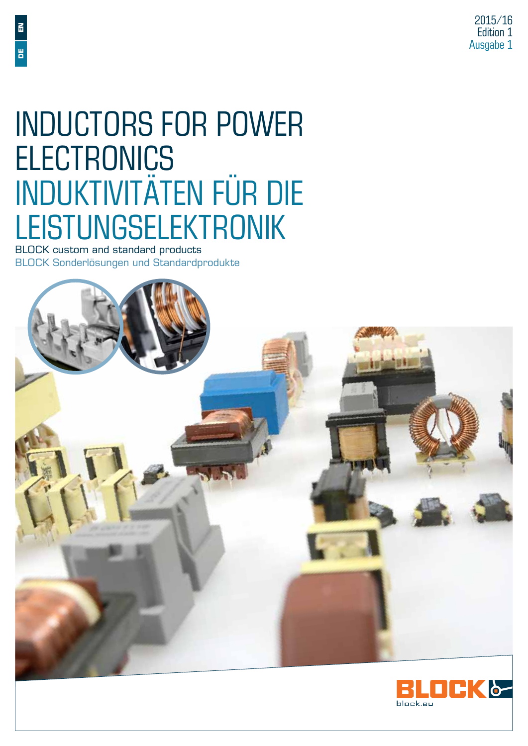# Inductors for Power **ELECTRONICS** Induktivitäten für die Leistungselektronik **BLOCK Sonderlösungen und Standardprodukte**<br>BLOCK Custom and standard products<br>BLOCK custom and standard products<br>BLOCK Sonderlösungen und Standardprodukte

BLOCK custom and standard products<br>BLOCK Sonderlösungen und Standardprodukte



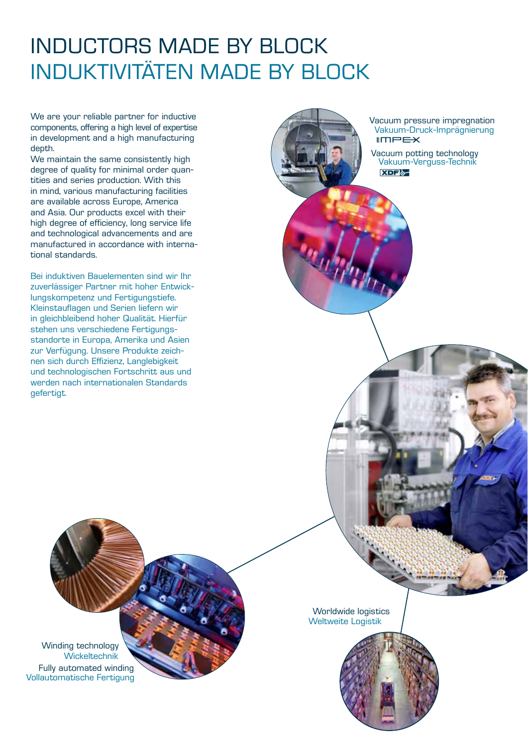### inductors MADE BY BLOCK INDUKTIVITÄTEN MADE BY BLOCK

We are your reliable partner for inductive components, offering a high level of expertise in development and a high manufacturing depth.

We maintain the same consistently high degree of quality for minimal order quantities and series production. With this in mind, various manufacturing facilities are available across Europe, America and Asia. Our products excel with their high degree of efficiency, long service life and technological advancements and are manufactured in accordance with international standards.

Bei induktiven Bauelementen sind wir Ihr zuverlässiger Partner mit hoher Entwicklungskompetenz und Fertigungstiefe. Kleinstauflagen und Serien liefern wir in gleichbleibend hoher Qualität. Hierfür stehen uns verschiedene Fertigungsstandorte in Europa, Amerika und Asien zur Verfügung. Unsere Produkte zeichnen sich durch Effizienz, Langlebigkeit und technologischen Fortschritt aus und werden nach internationalen Standards gefertigt.

 $IMPEX$ Vacuum pressure impregnation Vakuum-Druck-Imprägnierung

**XDF** Vacuum potting technology Vakuum-Verguss-Technik

Winding technology Wickeltechnik Fully automated winding Vollautomatische Fertigung

Worldwide logistics Weltweite Logistik

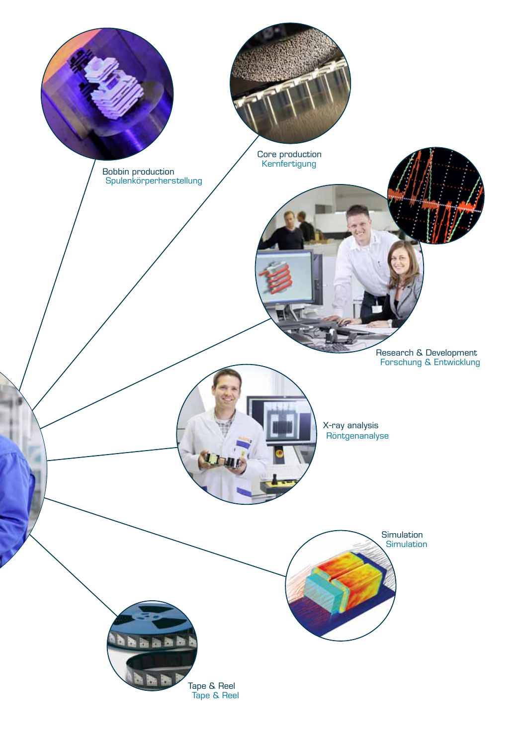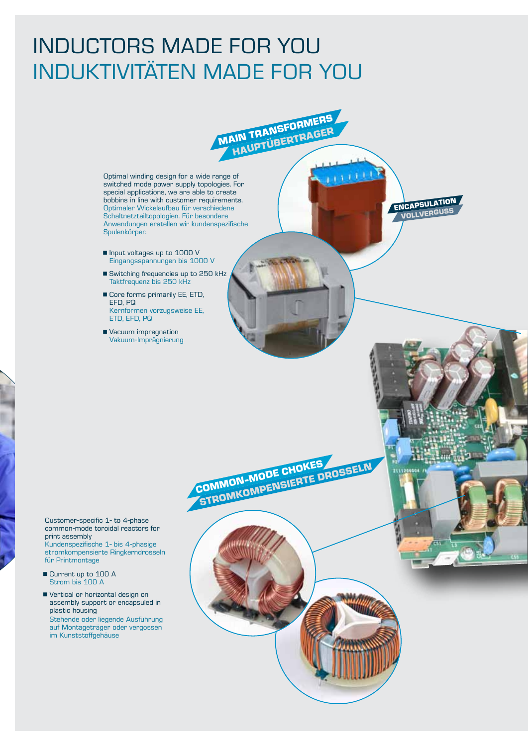#### inductors made for you INDUKTIVITÄTEN MADE for you

**Main transformers HAUPTÜBERTRAGER** 

> **encapsulation vollverguss**

21112

STROMKOMPENSIERTE DROSSELN

**Common-mode chokes**

Optimal winding design for a wide range of switched mode power supply topologies. For special applications, we are able to create bobbins in line with customer requirements. Optimaler Wickelaufbau für verschiedene Schaltnetzteiltopologien. Für besondere Anwendungen erstellen wir kundenspezifische Spulenkörper.

- **n** Input voltages up to 1000 V Eingangsspannungen bis 1000 V
- Switching frequencies up to 250 kHz Taktfrequenz bis 250 kHz
- Core forms primarily EE, ETD, EFD, PQ Kernformen vorzugsweise EE, ETD, EFD, PQ
- **Vacuum impregnation** Vakuum-Imprägnierung

Customer-specific 1- to 4-phase common-mode toroidal reactors for print assembly Kundenspezifische 1- bis 4-phasige stromkompensierte Ringkerndrosseln für Printmontage

- Current up to 100 A Strom bis 100 A
- Vertical or horizontal design on assembly support or encapsuled in plastic housing Stehende oder liegende Ausführung auf Montageträger oder vergossen im Kunststoffgehäuse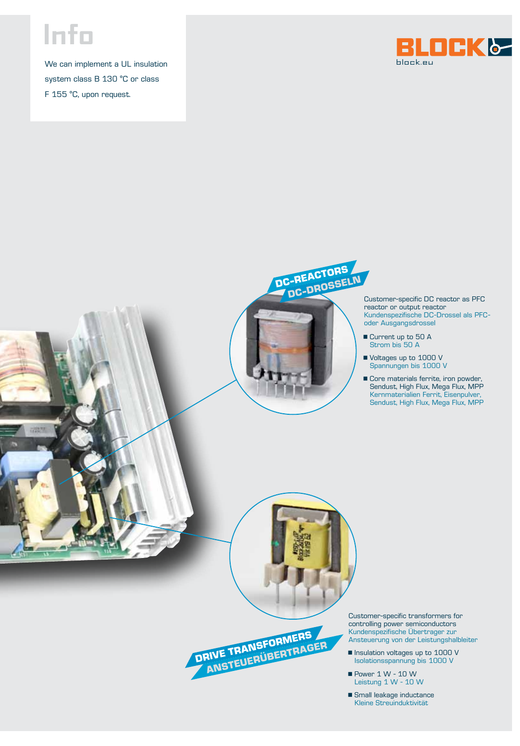## **Info**

We can implement a UL insulation system class B 130 °C or class F 155 °C, upon request.





Customer-specific DC reactor as PFC reactor or output reactor Kundenspezifische DC-Drossel als PFCoder Ausgangsdrossel

- Current up to 50 A Strom bis 50 A
- Voltages up to 1000 V Spannungen bis 1000 V
- **Core materials ferrite, iron powder,**  Sendust, High Flux, Mega Flux, MPP Kernmaterialien Ferrit, Eisenpulver, Sendust, High Flux, Mega Flux, MPP

Customer-specific transformers for controlling power semiconductors Kundenspezifische Übertrager zur Ansteuerung von der Leistungshalbleiter

- **n** Insulation voltages up to 1000 V Isolationsspannung bis 1000 V
- $\blacksquare$  Power 1 W 10 W Leistung 1 W - 10 W
- **F** Small leakage inductance Kleine Streuinduktivität